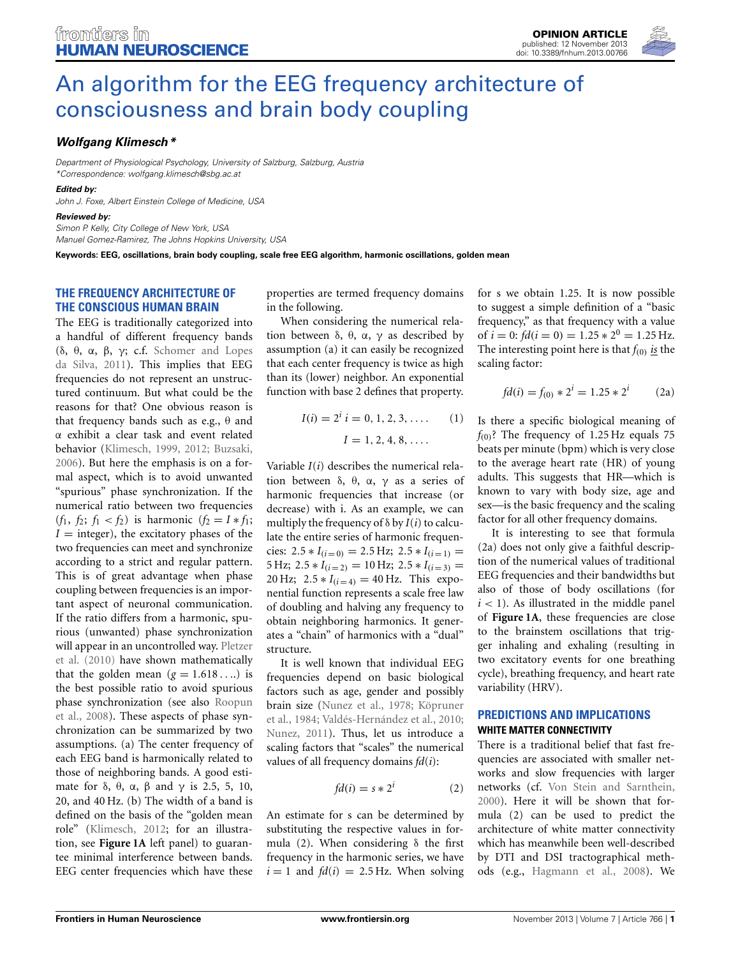

# [An algorithm for the EEG frequency architecture of](http://www.frontiersin.org/journal/10.3389/fnhum.2013.00766/full) consciousness and brain body coupling

## *[Wolfgang Klimesch\\*](http://www.frontiersin.org/people/u/4072)*

*Department of Physiological Psychology, University of Salzburg, Salzburg, Austria \*Correspondence: wolfgang.klimesch@sbg.ac.at*

*Edited by:*

*John J. Foxe, Albert Einstein College of Medicine, USA*

#### *Reviewed by:*

*Simon P. Kelly, City College of New York, USA*

*Manuel Gomez-Ramirez, The Johns Hopkins University, USA*

**Keywords: EEG, oscillations, brain body coupling, scale free EEG algorithm, harmonic oscillations, golden mean**

## **THE FREQUENCY ARCHITECTURE OF THE CONSCIOUS HUMAN BRAIN**

The EEG is traditionally categorized into a handful of different frequency bands (δ, θ, α, β, γ[; c.f.](#page-3-0) Schomer and Lopes da Silva, [2011\)](#page-3-0). This implies that EEG frequencies do not represent an unstructured continuum. But what could be the reasons for that? One obvious reason is that frequency bands such as e.g.,  $θ$  and α exhibit a clear task and event related behavior [\(Klimesch, 1999,](#page-3-1) [2012;](#page-3-2) [Buzsaki,](#page-2-0) [2006](#page-2-0)). But here the emphasis is on a formal aspect, which is to avoid unwanted "spurious" phase synchronization. If the numerical ratio between two frequencies  $(f_1, f_2; f_1 < f_2)$  is harmonic  $(f_2 = I * f_1;$  $I =$  integer), the excitatory phases of the two frequencies can meet and synchronize according to a strict and regular pattern. This is of great advantage when phase coupling between frequencies is an important aspect of neuronal communication. If the ratio differs from a harmonic, spurious (unwanted) phase synchronization will [appear in an uncontrolled way.](#page-3-3) Pletzer et al. [\(2010](#page-3-3)) have shown mathematically that the golden mean  $(g = 1.618... )$  is the best possible ratio to avoid spurious phas[e](#page-3-4) [synchronization](#page-3-4) [\(see](#page-3-4) [also](#page-3-4) Roopun et al., [2008](#page-3-4)). These aspects of phase synchronization can be summarized by two assumptions. (a) The center frequency of each EEG band is harmonically related to those of neighboring bands. A good estimate for  $\delta$ ,  $\theta$ ,  $\alpha$ ,  $\beta$  and  $\gamma$  is 2.5, 5, 10, 20, and 40 Hz. (b) The width of a band is defined on the basis of the "golden mean role" [\(Klimesch, 2012](#page-3-2); for an illustration, see **[Figure 1A](#page-1-0)** left panel) to guarantee minimal interference between bands. EEG center frequencies which have these

properties are termed frequency domains in the following.

When considering the numerical relation between  $\delta$ ,  $\theta$ ,  $\alpha$ ,  $\gamma$  as described by assumption (a) it can easily be recognized that each center frequency is twice as high than its (lower) neighbor. An exponential function with base 2 defines that property.

$$
I(i) = 2i i = 0, 1, 2, 3, .... (1)
$$

$$
I = 1, 2, 4, 8, ....
$$

Variable *I*(*i*) describes the numerical relation between  $\delta$ ,  $\theta$ ,  $\alpha$ ,  $\gamma$  as a series of harmonic frequencies that increase (or decrease) with i. As an example, we can multiply the frequency of  $\delta$  by  $I(i)$  to calculate the entire series of harmonic frequencies:  $2.5 * I_{(i=0)} = 2.5 Hz$ ;  $2.5 * I_{(i=1)} =$  $5 \text{ Hz}; 2.5 * I_{(i=2)} = 10 \text{ Hz}; 2.5 * I_{(i=3)} =$ 20 Hz;  $2.5 * I_{(i=4)} = 40$  Hz. This exponential function represents a scale free law of doubling and halving any frequency to obtain neighboring harmonics. It generates a "chain" of harmonics with a "dual" structure.

It is well known that individual EEG frequencies depend on basic biological factors such as age, gender and possibly brai[n size](#page-3-6) [\(Nunez et al., 1978](#page-3-5)[;](#page-3-6) Köpruner et al., [1984](#page-3-6); [Valdés-Hernández et al., 2010;](#page-3-7) [Nunez](#page-3-8), [2011](#page-3-8)). Thus, let us introduce a scaling factors that "scales" the numerical values of all frequency domains *fd*(*i*):

$$
fd(i) = s * 2i \tag{2}
$$

An estimate for s can be determined by substituting the respective values in formula (2). When considering  $\delta$  the first frequency in the harmonic series, we have  $i = 1$  and  $fd(i) = 2.5$  Hz. When solving for s we obtain 1.25. It is now possible to suggest a simple definition of a "basic frequency," as that frequency with a value of  $i = 0$ :  $fd(i = 0) = 1.25 * 2^0 = 1.25 Hz$ . The interesting point here is that  $f_{(0)}$  *is* the scaling factor:

$$
fd(i) = f_{(0)} * 2i = 1.25 * 2i \qquad (2a)
$$

Is there a specific biological meaning of  $f<sub>(0)</sub>$ ? The frequency of 1.25 Hz equals 75 beats per minute (bpm) which is very close to the average heart rate (HR) of young adults. This suggests that HR—which is known to vary with body size, age and sex—is the basic frequency and the scaling factor for all other frequency domains.

It is interesting to see that formula (2a) does not only give a faithful description of the numerical values of traditional EEG frequencies and their bandwidths but also of those of body oscillations (for  $i < 1$ ). As illustrated in the middle panel of **[Figure 1A](#page-1-0)**, these frequencies are close to the brainstem oscillations that trigger inhaling and exhaling (resulting in two excitatory events for one breathing cycle), breathing frequency, and heart rate variability (HRV).

## **PREDICTIONS AND IMPLICATIONS WHITE MATTER CONNECTIVITY**

There is a traditional belief that fast frequencies are associated with smaller networks and slow frequencies with larger networks (cf. [Von Stein and Sarnthein](#page-3-9), [2000](#page-3-9)). Here it will be shown that formula (2) can be used to predict the architecture of white matter connectivity which has meanwhile been well-described by DTI and DSI tractographical methods (e.g., [Hagmann et al.](#page-3-10), [2008\)](#page-3-10). We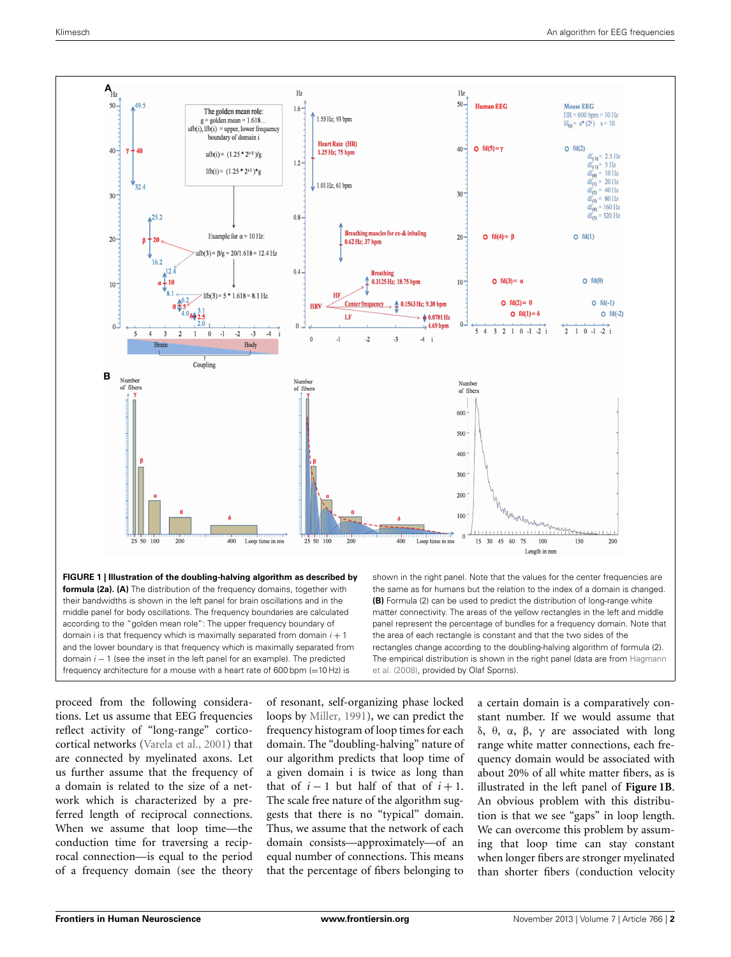

<span id="page-1-0"></span>**FIGURE 1 | Illustration of the doubling-halving algorithm as described by formula (2a). (A)** The distribution of the frequency domains, together with their bandwidths is shown in the left panel for brain oscillations and in the middle panel for body oscillations. The frequency boundaries are calculated according to the "golden mean role": The upper frequency boundary of domain i is that frequency which is maximally separated from domain *i* + 1 and the lower boundary is that frequency which is maximally separated from domain *i* − 1 (see the inset in the left panel for an example). The predicted frequency architecture for a mouse with a heart rate of 600 bpm  $(=10$  Hz) is

shown in the right panel. Note that the values for the center frequencies are the same as for humans but the relation to the index of a domain is changed. **(B)** Formula (2) can be used to predict the distribution of long-range white matter connectivity. The areas of the yellow rectangles in the left and middle panel represent the percentage of bundles for a frequency domain. Note that the area of each rectangle is constant and that the two sides of the rectangles change according to the doubling-halving algorithm of formula (2). The [empirical](#page-3-10) [distribution](#page-3-10) [is](#page-3-10) [shown](#page-3-10) [in](#page-3-10) [the](#page-3-10) [right](#page-3-10) [panel](#page-3-10) [\(data](#page-3-10) [are](#page-3-10) [from](#page-3-10) Hagmann et al. [\(2008](#page-3-10)), provided by Olaf Sporns).

proceed from the following considerations. Let us assume that EEG frequencies reflect activity of "long-range" corticocortical networks [\(Varela et al., 2001\)](#page-3-11) that are connected by myelinated axons. Let us further assume that the frequency of a domain is related to the size of a network which is characterized by a preferred length of reciprocal connections. When we assume that loop time—the conduction time for traversing a reciprocal connection—is equal to the period of a frequency domain (see the theory

of resonant, self-organizing phase locked loops by [Miller](#page-3-12), [1991\)](#page-3-12), we can predict the frequency histogram of loop times for each domain. The "doubling-halving" nature of our algorithm predicts that loop time of a given domain i is twice as long than that of  $i - 1$  but half of that of  $i + 1$ . The scale free nature of the algorithm suggests that there is no "typical" domain. Thus, we assume that the network of each domain consists—approximately—of an equal number of connections. This means that the percentage of fibers belonging to

a certain domain is a comparatively constant number. If we would assume that δ, θ, α, β, γ are associated with long range white matter connections, each frequency domain would be associated with about 20% of all white matter fibers, as is illustrated in the left panel of **[Figure 1B](#page-1-0)**. An obvious problem with this distribution is that we see "gaps" in loop length. We can overcome this problem by assuming that loop time can stay constant when longer fibers are stronger myelinated than shorter fibers (conduction velocity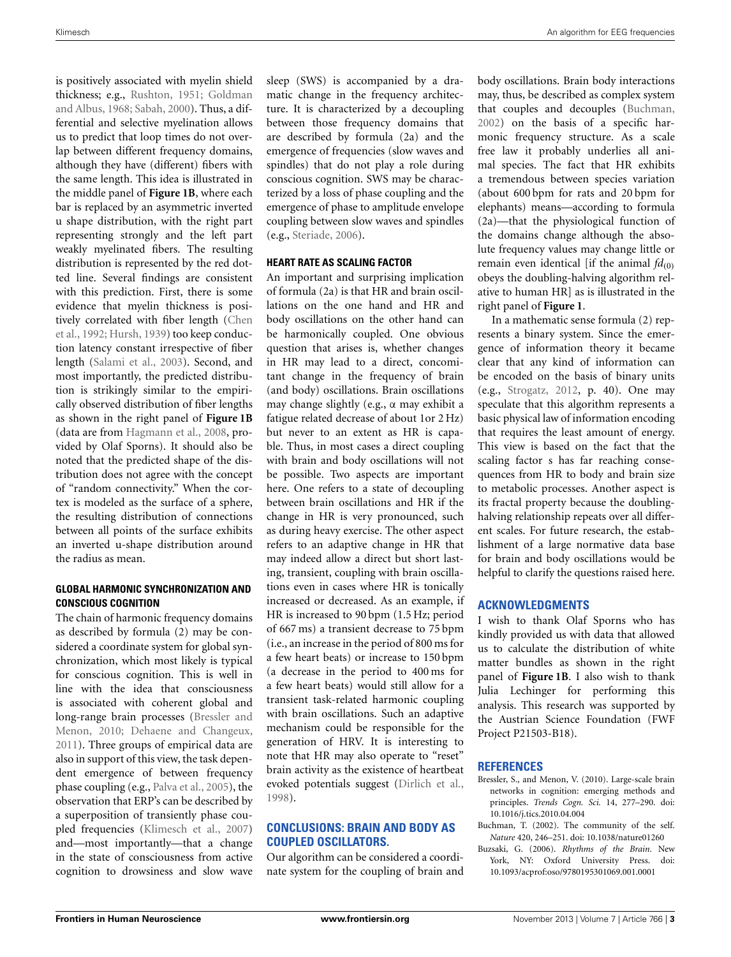Klimesch An algorithm for EEG frequencies

is positively associated with myelin shield thickness; e.g., [Rushton](#page-3-13)[,](#page-3-14) [1951](#page-3-13)[;](#page-3-14) Goldman and Albus, [1968;](#page-3-14) [Sabah, 2000\)](#page-3-15). Thus, a differential and selective myelination allows us to predict that loop times do not overlap between different frequency domains, although they have (different) fibers with the same length. This idea is illustrated in the middle panel of **[Figure 1B](#page-1-0)**, where each bar is replaced by an asymmetric inverted u shape distribution, with the right part representing strongly and the left part weakly myelinated fibers. The resulting distribution is represented by the red dotted line. Several findings are consistent with this prediction. First, there is some evidence that myelin thickness is positivel[y correlated with fiber length \(](#page-3-16)Chen et al., [1992](#page-3-16); [Hursh](#page-3-17), [1939](#page-3-17)) too keep conduction latency constant irrespective of fiber length [\(Salami et al., 2003\)](#page-3-18). Second, and most importantly, the predicted distribution is strikingly similar to the empirically observed distribution of fiber lengths as shown in the right panel of **[Figure 1B](#page-1-0)** (data are from [Hagmann et al.](#page-3-10), [2008](#page-3-10), provided by Olaf Sporns). It should also be noted that the predicted shape of the distribution does not agree with the concept of "random connectivity." When the cortex is modeled as the surface of a sphere, the resulting distribution of connections between all points of the surface exhibits an inverted u-shape distribution around the radius as mean.

#### **GLOBAL HARMONIC SYNCHRONIZATION AND CONSCIOUS COGNITION**

The chain of harmonic frequency domains as described by formula (2) may be considered a coordinate system for global synchronization, which most likely is typical for conscious cognition. This is well in line with the idea that consciousness is associated with coherent global and long-r[ange brain processes \(](#page-2-1)Bressler and Menon, [2010;](#page-2-1) [Dehaene and Changeux,](#page-3-19) [2011](#page-3-19)). Three groups of empirical data are also in support of this view, the task dependent emergence of between frequency phase coupling (e.g., [Palva et al., 2005](#page-3-20)), the observation that ERP's can be described by a superposition of transiently phase coupled frequencies [\(Klimesch et al.](#page-3-21), [2007](#page-3-21)) and—most importantly—that a change in the state of consciousness from active cognition to drowsiness and slow wave sleep (SWS) is accompanied by a dramatic change in the frequency architecture. It is characterized by a decoupling between those frequency domains that are described by formula (2a) and the emergence of frequencies (slow waves and spindles) that do not play a role during conscious cognition. SWS may be characterized by a loss of phase coupling and the emergence of phase to amplitude envelope coupling between slow waves and spindles (e.g., [Steriade, 2006](#page-3-22)).

### **HEART RATE AS SCALING FACTOR**

An important and surprising implication of formula (2a) is that HR and brain oscillations on the one hand and HR and body oscillations on the other hand can be harmonically coupled. One obvious question that arises is, whether changes in HR may lead to a direct, concomitant change in the frequency of brain (and body) oscillations. Brain oscillations may change slightly (e.g., α may exhibit a fatigue related decrease of about 1or 2 Hz) but never to an extent as HR is capable. Thus, in most cases a direct coupling with brain and body oscillations will not be possible. Two aspects are important here. One refers to a state of decoupling between brain oscillations and HR if the change in HR is very pronounced, such as during heavy exercise. The other aspect refers to an adaptive change in HR that may indeed allow a direct but short lasting, transient, coupling with brain oscillations even in cases where HR is tonically increased or decreased. As an example, if HR is increased to 90 bpm (1.5 Hz; period of 667 ms) a transient decrease to 75 bpm (i.e., an increase in the period of 800 ms for a few heart beats) or increase to 150 bpm (a decrease in the period to 400 ms for a few heart beats) would still allow for a transient task-related harmonic coupling with brain oscillations. Such an adaptive mechanism could be responsible for the generation of HRV. It is interesting to note that HR may also operate to "reset" brain activity as the existence of heartbeat evoked potentials suggest [\(Dirlich et al.,](#page-3-23) [1998](#page-3-23)).

## **CONCLUSIONS: BRAIN AND BODY AS COUPLED OSCILLATORS.**

Our algorithm can be considered a coordinate system for the coupling of brain and body oscillations. Brain body interactions may, thus, be described as complex system that couples and decouples [\(Buchman,](#page-2-2) [2002](#page-2-2)) on the basis of a specific harmonic frequency structure. As a scale free law it probably underlies all animal species. The fact that HR exhibits a tremendous between species variation (about 600 bpm for rats and 20 bpm for elephants) means—according to formula (2a)—that the physiological function of the domains change although the absolute frequency values may change little or remain even identical [if the animal  $fd_{(0)}$ obeys the doubling-halving algorithm relative to human HR] as is illustrated in the right panel of **[Figure 1](#page-1-0)**.

In a mathematic sense formula (2) represents a binary system. Since the emergence of information theory it became clear that any kind of information can be encoded on the basis of binary units (e.g., [Strogatz, 2012,](#page-3-24) p. 40). One may speculate that this algorithm represents a basic physical law of information encoding that requires the least amount of energy. This view is based on the fact that the scaling factor s has far reaching consequences from HR to body and brain size to metabolic processes. Another aspect is its fractal property because the doublinghalving relationship repeats over all different scales. For future research, the establishment of a large normative data base for brain and body oscillations would be helpful to clarify the questions raised here.

## **ACKNOWLEDGMENTS**

I wish to thank Olaf Sporns who has kindly provided us with data that allowed us to calculate the distribution of white matter bundles as shown in the right panel of **[Figure 1B](#page-1-0)**. I also wish to thank Julia Lechinger for performing this analysis. This research was supported by the Austrian Science Foundation (FWF Project P21503-B18).

### **REFERENCES**

- <span id="page-2-1"></span>Bressler, S., and Menon, V. (2010). Large-scale brain networks in cognition: emerging methods and principles. *Trends Cogn. Sci.* 14, 277–290. doi: 10.1016/j.tics.2010.04.004
- <span id="page-2-2"></span>Buchman, T. (2002). The community of the self. *Nature* 420, 246–251. doi: 10.1038/nature01260
- <span id="page-2-0"></span>Buzsaki, G. (2006). *Rhythms of the Brain*. New York, NY: Oxford University Press. doi: 10.1093/acprof:oso/9780195301069.001.0001